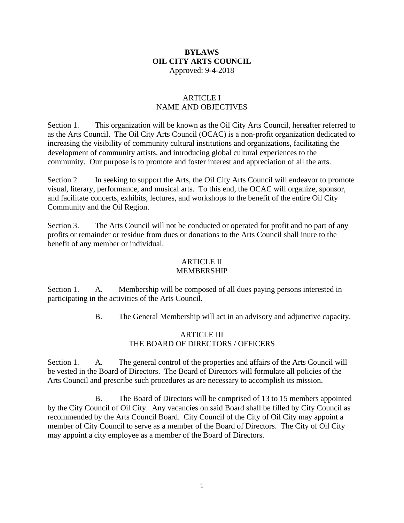## **BYLAWS OIL CITY ARTS COUNCIL** Approved: 9-4-2018

## ARTICLE I NAME AND OBJECTIVES

Section 1. This organization will be known as the Oil City Arts Council, hereafter referred to as the Arts Council. The Oil City Arts Council (OCAC) is a non-profit organization dedicated to increasing the visibility of community cultural institutions and organizations, facilitating the development of community artists, and introducing global cultural experiences to the community. Our purpose is to promote and foster interest and appreciation of all the arts.

Section 2. In seeking to support the Arts, the Oil City Arts Council will endeavor to promote visual, literary, performance, and musical arts. To this end, the OCAC will organize, sponsor, and facilitate concerts, exhibits, lectures, and workshops to the benefit of the entire Oil City Community and the Oil Region.

Section 3. The Arts Council will not be conducted or operated for profit and no part of any profits or remainder or residue from dues or donations to the Arts Council shall inure to the benefit of any member or individual.

#### ARTICLE II MEMBERSHIP

Section 1. A. Membership will be composed of all dues paying persons interested in participating in the activities of the Arts Council.

B. The General Membership will act in an advisory and adjunctive capacity.

# ARTICLE III THE BOARD OF DIRECTORS / OFFICERS

Section 1. A. The general control of the properties and affairs of the Arts Council will be vested in the Board of Directors. The Board of Directors will formulate all policies of the Arts Council and prescribe such procedures as are necessary to accomplish its mission.

B. The Board of Directors will be comprised of 13 to 15 members appointed by the City Council of Oil City. Any vacancies on said Board shall be filled by City Council as recommended by the Arts Council Board. City Council of the City of Oil City may appoint a member of City Council to serve as a member of the Board of Directors. The City of Oil City may appoint a city employee as a member of the Board of Directors.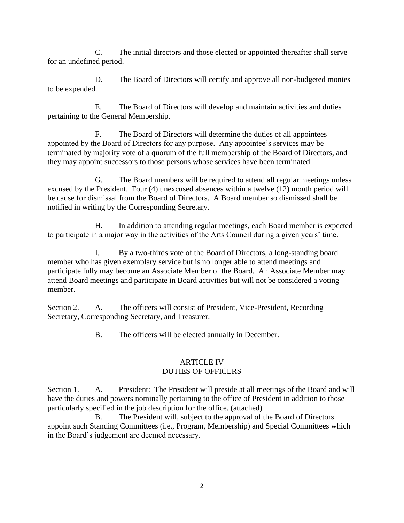C. The initial directors and those elected or appointed thereafter shall serve for an undefined period.

D. The Board of Directors will certify and approve all non-budgeted monies to be expended.

E. The Board of Directors will develop and maintain activities and duties pertaining to the General Membership.

F. The Board of Directors will determine the duties of all appointees appointed by the Board of Directors for any purpose. Any appointee's services may be terminated by majority vote of a quorum of the full membership of the Board of Directors, and they may appoint successors to those persons whose services have been terminated.

G. The Board members will be required to attend all regular meetings unless excused by the President. Four (4) unexcused absences within a twelve (12) month period will be cause for dismissal from the Board of Directors. A Board member so dismissed shall be notified in writing by the Corresponding Secretary.

H. In addition to attending regular meetings, each Board member is expected to participate in a major way in the activities of the Arts Council during a given years' time.

I. By a two-thirds vote of the Board of Directors, a long-standing board member who has given exemplary service but is no longer able to attend meetings and participate fully may become an Associate Member of the Board. An Associate Member may attend Board meetings and participate in Board activities but will not be considered a voting member.

Section 2. A. The officers will consist of President, Vice-President, Recording Secretary, Corresponding Secretary, and Treasurer.

B. The officers will be elected annually in December.

# ARTICLE IV DUTIES OF OFFICERS

Section 1. A. President: The President will preside at all meetings of the Board and will have the duties and powers nominally pertaining to the office of President in addition to those particularly specified in the job description for the office. (attached)

B. The President will, subject to the approval of the Board of Directors appoint such Standing Committees (i.e., Program, Membership) and Special Committees which in the Board's judgement are deemed necessary.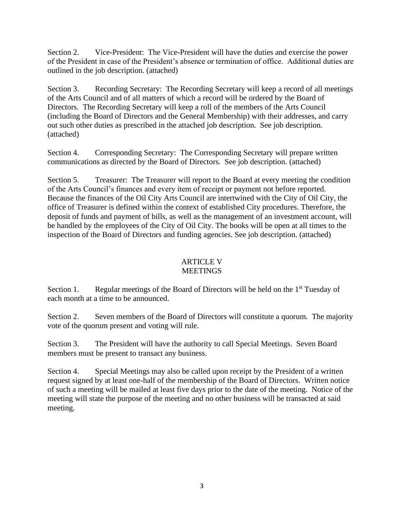Section 2. Vice-President: The Vice-President will have the duties and exercise the power of the President in case of the President's absence or termination of office. Additional duties are outlined in the job description. (attached)

Section 3. Recording Secretary: The Recording Secretary will keep a record of all meetings of the Arts Council and of all matters of which a record will be ordered by the Board of Directors. The Recording Secretary will keep a roll of the members of the Arts Council (including the Board of Directors and the General Membership) with their addresses, and carry out such other duties as prescribed in the attached job description. See job description. (attached)

Section 4. Corresponding Secretary: The Corresponding Secretary will prepare written communications as directed by the Board of Directors. See job description. (attached)

Section 5. Treasurer: The Treasurer will report to the Board at every meeting the condition of the Arts Council's finances and every item of receipt or payment not before reported. Because the finances of the Oil City Arts Council are intertwined with the City of Oil City, the office of Treasurer is defined within the context of established City procedures. Therefore, the deposit of funds and payment of bills, as well as the management of an investment account, will be handled by the employees of the City of Oil City. The books will be open at all times to the inspection of the Board of Directors and funding agencies. See job description. (attached)

#### ARTICLE V MEETINGS

Section 1. Regular meetings of the Board of Directors will be held on the 1<sup>st</sup> Tuesday of each month at a time to be announced.

Section 2. Seven members of the Board of Directors will constitute a quorum. The majority vote of the quorum present and voting will rule.

Section 3. The President will have the authority to call Special Meetings. Seven Board members must be present to transact any business.

Section 4. Special Meetings may also be called upon receipt by the President of a written request signed by at least one-half of the membership of the Board of Directors. Written notice of such a meeting will be mailed at least five days prior to the date of the meeting. Notice of the meeting will state the purpose of the meeting and no other business will be transacted at said meeting.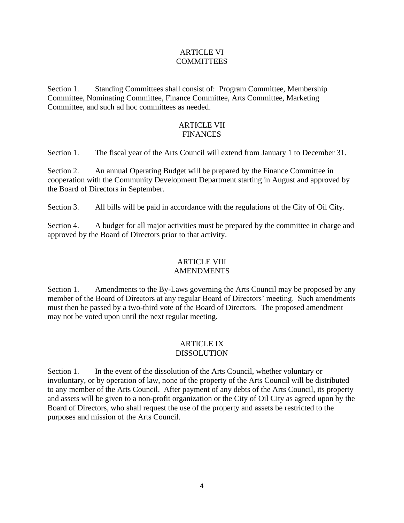## ARTICLE VI COMMITTEES

Section 1. Standing Committees shall consist of: Program Committee, Membership Committee, Nominating Committee, Finance Committee, Arts Committee, Marketing Committee, and such ad hoc committees as needed.

# ARTICLE VII **FINANCES**

Section 1. The fiscal year of the Arts Council will extend from January 1 to December 31.

Section 2. An annual Operating Budget will be prepared by the Finance Committee in cooperation with the Community Development Department starting in August and approved by the Board of Directors in September.

Section 3. All bills will be paid in accordance with the regulations of the City of Oil City.

Section 4. A budget for all major activities must be prepared by the committee in charge and approved by the Board of Directors prior to that activity.

#### ARTICLE VIII AMENDMENTS

Section 1. Amendments to the By-Laws governing the Arts Council may be proposed by any member of the Board of Directors at any regular Board of Directors' meeting. Such amendments must then be passed by a two-third vote of the Board of Directors. The proposed amendment may not be voted upon until the next regular meeting.

# ARTICLE IX DISSOLUTION

Section 1. In the event of the dissolution of the Arts Council, whether voluntary or involuntary, or by operation of law, none of the property of the Arts Council will be distributed to any member of the Arts Council. After payment of any debts of the Arts Council, its property and assets will be given to a non-profit organization or the City of Oil City as agreed upon by the Board of Directors, who shall request the use of the property and assets be restricted to the purposes and mission of the Arts Council.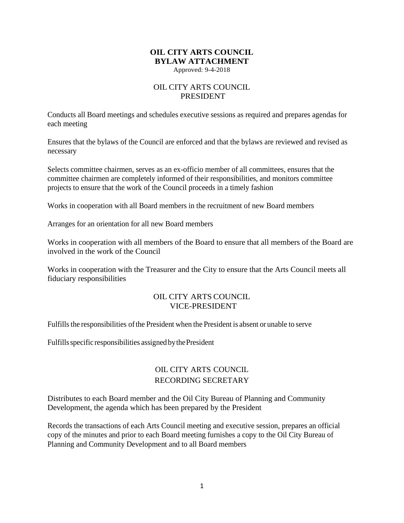# **OIL CITY ARTS COUNCIL BYLAW ATTACHMENT**

Approved: 9-4-2018

# OIL CITY ARTS COUNCIL PRESIDENT

Conducts all Board meetings and schedules executive sessions as required and prepares agendas for each meeting

Ensures that the bylaws of the Council are enforced and that the bylaws are reviewed and revised as necessary

Selects committee chairmen, serves as an ex-officio member of all committees, ensures that the committee chairmen are completely informed of their responsibilities, and monitors committee projects to ensure that the work of the Council proceeds in a timely fashion

Works in cooperation with all Board members in the recruitment of new Board members

Arranges for an orientation for all new Board members

Works in cooperation with all members of the Board to ensure that all members of the Board are involved in the work of the Council

Works in cooperation with the Treasurer and the City to ensure that the Arts Council meets all fiduciary responsibilities

#### OIL CITY ARTS COUNCIL VICE-PRESIDENT

Fulfills the responsibilities ofthe President when the President is absent or unable to serve

Fulfills specific responsibilities assigned by the President

# OIL CITY ARTS COUNCIL RECORDING SECRETARY

Distributes to each Board member and the Oil City Bureau of Planning and Community Development, the agenda which has been prepared by the President

Records the transactions of each Arts Council meeting and executive session, prepares an official copy of the minutes and prior to each Board meeting furnishes a copy to the Oil City Bureau of Planning and Community Development and to all Board members